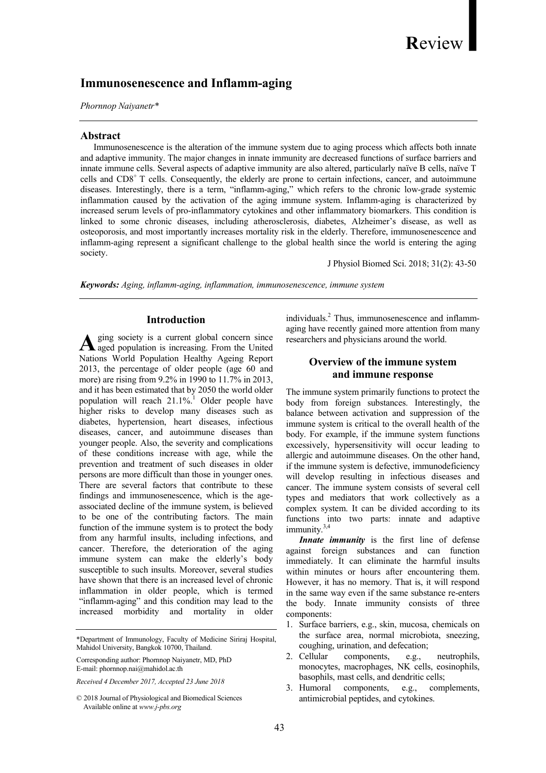# Review

# Immunosenescence and Inflamm-aging

Phornnop Naiyanetr\*

## Abstract

 Immunosenescence is the alteration of the immune system due to aging process which affects both innate and adaptive immunity. The major changes in innate immunity are decreased functions of surface barriers and innate immune cells. Several aspects of adaptive immunity are also altered, particularly naïve B cells, naïve T cells and  $CD8<sup>+</sup>$  T cells. Consequently, the elderly are prone to certain infections, cancer, and autoimmune diseases. Interestingly, there is a term, "inflamm-aging," which refers to the chronic low-grade systemic inflammation caused by the activation of the aging immune system. Inflamm-aging is characterized by increased serum levels of pro-inflammatory cytokines and other inflammatory biomarkers. This condition is linked to some chronic diseases, including atherosclerosis, diabetes, Alzheimer's disease, as well as osteoporosis, and most importantly increases mortality risk in the elderly. Therefore, immunosenescence and inflamm-aging represent a significant challenge to the global health since the world is entering the aging society.

J Physiol Biomed Sci. 2018; 31(2): 43-50

Keywords: Aging, inflamm-aging, inflammation, immunosenescence, immune system

# Introduction

ging society is a current global concern since  $A$  ging society is a current global concern since aged population is increasing. From the United Nations World Population Healthy Ageing Report 2013, the percentage of older people (age 60 and more) are rising from 9.2% in 1990 to 11.7% in 2013, and it has been estimated that by 2050 the world older population will reach  $21.1\%$ <sup>1</sup> Older people have higher risks to develop many diseases such as diabetes, hypertension, heart diseases, infectious diseases, cancer, and autoimmune diseases than younger people. Also, the severity and complications of these conditions increase with age, while the prevention and treatment of such diseases in older persons are more difficult than those in younger ones. There are several factors that contribute to these findings and immunosenescence, which is the ageassociated decline of the immune system, is believed to be one of the contributing factors. The main function of the immune system is to protect the body from any harmful insults, including infections, and cancer. Therefore, the deterioration of the aging immune system can make the elderly's body susceptible to such insults. Moreover, several studies have shown that there is an increased level of chronic inflammation in older people, which is termed "inflamm-aging" and this condition may lead to the increased morbidity and mortality in older

Corresponding author: Phornnop Naiyanetr, MD, PhD E-mail: phornnop.nai@mahidol.ac.th

Received 4 December 2017, Accepted 23 June 2018

individuals.<sup>2</sup> Thus, immunosenescence and inflammaging have recently gained more attention from many researchers and physicians around the world.

# Overview of the immune system and immune response

The immune system primarily functions to protect the body from foreign substances. Interestingly, the balance between activation and suppression of the immune system is critical to the overall health of the body. For example, if the immune system functions excessively, hypersensitivity will occur leading to allergic and autoimmune diseases. On the other hand, if the immune system is defective, immunodeficiency will develop resulting in infectious diseases and cancer. The immune system consists of several cell types and mediators that work collectively as a complex system. It can be divided according to its functions into two parts: innate and adaptive immunity.<sup>3,4</sup>

Innate *immunity* is the first line of defense against foreign substances and can function immediately. It can eliminate the harmful insults within minutes or hours after encountering them. However, it has no memory. That is, it will respond in the same way even if the same substance re-enters the body. Innate immunity consists of three components:

- 1. Surface barriers, e.g., skin, mucosa, chemicals on the surface area, normal microbiota, sneezing, coughing, urination, and defecation;
- 2. Cellular components, e.g., neutrophils, monocytes, macrophages, NK cells, eosinophils, basophils, mast cells, and dendritic cells;
- 3. Humoral components, e.g., complements, antimicrobial peptides, and cytokines.

<sup>\*</sup>Department of Immunology, Faculty of Medicine Siriraj Hospital, Mahidol University, Bangkok 10700, Thailand.

<sup>© 2018</sup> Journal of Physiological and Biomedical Sciences Available online at www.j-pbs.org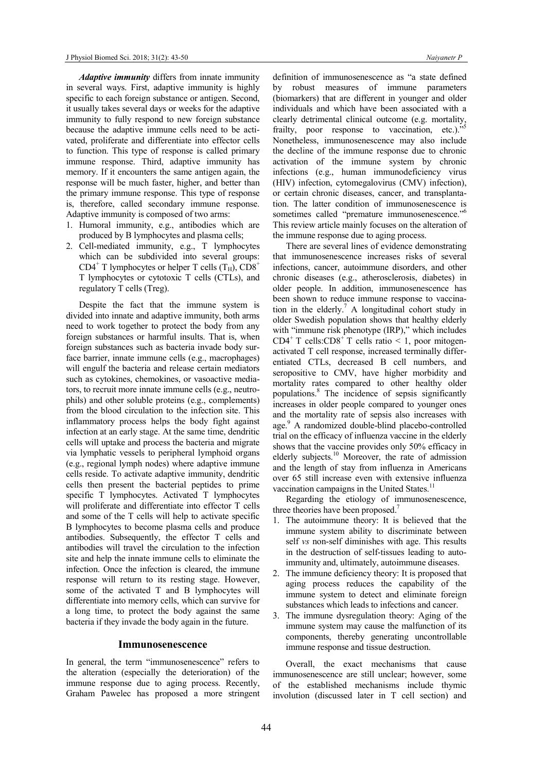Adaptive *immunity* differs from innate immunity in several ways. First, adaptive immunity is highly specific to each foreign substance or antigen. Second, it usually takes several days or weeks for the adaptive immunity to fully respond to new foreign substance because the adaptive immune cells need to be activated, proliferate and differentiate into effector cells to function. This type of response is called primary immune response. Third, adaptive immunity has memory. If it encounters the same antigen again, the response will be much faster, higher, and better than the primary immune response. This type of response is, therefore, called secondary immune response. Adaptive immunity is composed of two arms:

- 1. Humoral immunity, e.g., antibodies which are produced by B lymphocytes and plasma cells;
- 2. Cell-mediated immunity, e.g., T lymphocytes which can be subdivided into several groups:  $CD4^+$  T lymphocytes or helper T cells (T<sub>H</sub>),  $CD8^+$ T lymphocytes or cytotoxic T cells (CTLs), and regulatory T cells (Treg).

Despite the fact that the immune system is divided into innate and adaptive immunity, both arms need to work together to protect the body from any foreign substances or harmful insults. That is, when foreign substances such as bacteria invade body surface barrier, innate immune cells (e.g., macrophages) will engulf the bacteria and release certain mediators such as cytokines, chemokines, or vasoactive mediators, to recruit more innate immune cells (e.g., neutrophils) and other soluble proteins (e.g., complements) from the blood circulation to the infection site. This inflammatory process helps the body fight against infection at an early stage. At the same time, dendritic cells will uptake and process the bacteria and migrate via lymphatic vessels to peripheral lymphoid organs (e.g., regional lymph nodes) where adaptive immune cells reside. To activate adaptive immunity, dendritic cells then present the bacterial peptides to prime specific T lymphocytes. Activated T lymphocytes will proliferate and differentiate into effector T cells and some of the T cells will help to activate specific B lymphocytes to become plasma cells and produce antibodies. Subsequently, the effector T cells and antibodies will travel the circulation to the infection site and help the innate immune cells to eliminate the infection. Once the infection is cleared, the immune response will return to its resting stage. However, some of the activated T and B lymphocytes will differentiate into memory cells, which can survive for a long time, to protect the body against the same bacteria if they invade the body again in the future.

### Immunosenescence

In general, the term "immunosenescence" refers to the alteration (especially the deterioration) of the immune response due to aging process. Recently, Graham Pawelec has proposed a more stringent

definition of immunosenescence as "a state defined by robust measures of immune parameters (biomarkers) that are different in younger and older individuals and which have been associated with a clearly detrimental clinical outcome (e.g. mortality, frailty, poor response to vaccination, etc.)." Nonetheless, immunosenescence may also include the decline of the immune response due to chronic activation of the immune system by chronic infections (e.g., human immunodeficiency virus (HIV) infection, cytomegalovirus (CMV) infection), or certain chronic diseases, cancer, and transplantation. The latter condition of immunosenescence is sometimes called "premature immunosenescence."<sup>6</sup> This review article mainly focuses on the alteration of the immune response due to aging process.

 There are several lines of evidence demonstrating that immunosenescence increases risks of several infections, cancer, autoimmune disorders, and other chronic diseases (e.g., atherosclerosis, diabetes) in older people. In addition, immunosenescence has been shown to reduce immune response to vaccination in the elderly.<sup>7</sup> A longitudinal cohort study in older Swedish population shows that healthy elderly with "immune risk phenotype (IRP)," which includes CD4<sup>+</sup> T cells:CD8<sup>+</sup> T cells ratio < 1, poor mitogenactivated T cell response, increased terminally differentiated CTLs, decreased B cell numbers, and seropositive to CMV, have higher morbidity and mortality rates compared to other healthy older populations.<sup>8</sup> The incidence of sepsis significantly increases in older people compared to younger ones and the mortality rate of sepsis also increases with age.<sup>9</sup> A randomized double-blind placebo-controlled trial on the efficacy of influenza vaccine in the elderly shows that the vaccine provides only 50% efficacy in elderly subjects.<sup>10</sup> Moreover, the rate of admission and the length of stay from influenza in Americans over 65 still increase even with extensive influenza vaccination campaigns in the United States.<sup>11</sup>

Regarding the etiology of immunosenescence, three theories have been proposed.<sup>7</sup>

- 1. The autoimmune theory: It is believed that the immune system ability to discriminate between self *vs* non-self diminishes with age. This results in the destruction of self-tissues leading to autoimmunity and, ultimately, autoimmune diseases.
- 2. The immune deficiency theory: It is proposed that aging process reduces the capability of the immune system to detect and eliminate foreign substances which leads to infections and cancer.
- 3. The immune dysregulation theory: Aging of the immune system may cause the malfunction of its components, thereby generating uncontrollable immune response and tissue destruction.

Overall, the exact mechanisms that cause immunosenescence are still unclear; however, some of the established mechanisms include thymic involution (discussed later in T cell section) and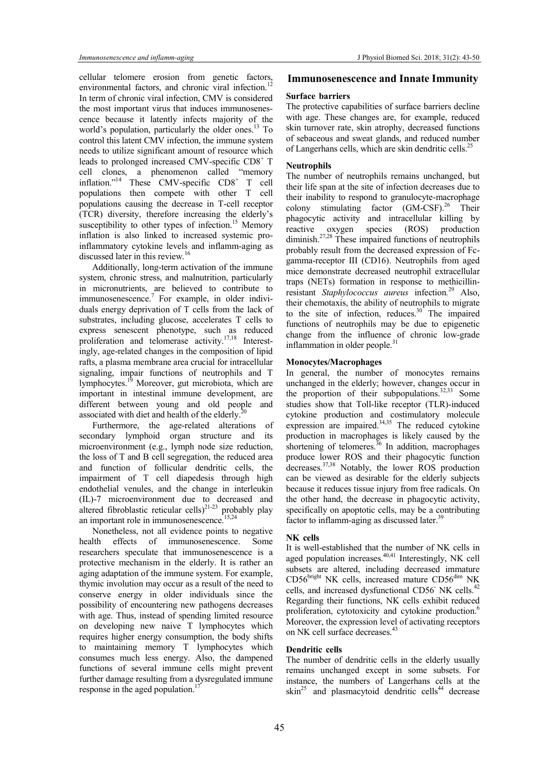cellular telomere erosion from genetic factors, environmental factors, and chronic viral infection.<sup>12</sup> In term of chronic viral infection, CMV is considered the most important virus that induces immunosenescence because it latently infects majority of the world's population, particularly the older ones.<sup>13</sup> To control this latent CMV infection, the immune system needs to utilize significant amount of resource which leads to prolonged increased CMV-specific CD8<sup>+</sup> T cell clones, a phenomenon called "memory inflation."<sup>14</sup> These CMV-specific CD8<sup>+</sup> T cell populations then compete with other T cell populations causing the decrease in T-cell receptor (TCR) diversity, therefore increasing the elderly's susceptibility to other types of infection.<sup>15</sup> Memory inflation is also linked to increased systemic proinflammatory cytokine levels and inflamm-aging as discussed later in this review.<sup>16</sup>

Additionally, long-term activation of the immune system, chronic stress, and malnutrition, particularly in micronutrients, are believed to contribute to immunosenescence.<sup>7</sup> For example, in older individuals energy deprivation of T cells from the lack of substrates, including glucose, accelerates T cells to express senescent phenotype, such as reduced proliferation and telomerase activity.17,18 Interestingly, age-related changes in the composition of lipid rafts, a plasma membrane area crucial for intracellular signaling, impair functions of neutrophils and T lymphocytes.<sup>19</sup> Moreover, gut microbiota, which are important in intestinal immune development, are different between young and old people and associated with diet and health of the elderly. $^{2}$ 

Furthermore, the age-related alterations of secondary lymphoid organ structure and its microenvironment (e.g., lymph node size reduction, the loss of T and B cell segregation, the reduced area and function of follicular dendritic cells, the impairment of T cell diapedesis through high endothelial venules, and the change in interleukin (IL)-7 microenvironment due to decreased and altered fibroblastic reticular cells) $^{21-23}$  probably play an important role in immunosenescence.<sup>15,24</sup>

 Nonetheless, not all evidence points to negative health effects of immunosenescence. Some researchers speculate that immunosenescence is a protective mechanism in the elderly. It is rather an aging adaptation of the immune system. For example, thymic involution may occur as a result of the need to conserve energy in older individuals since the possibility of encountering new pathogens decreases with age. Thus, instead of spending limited resource on developing new naive T lymphocytes which requires higher energy consumption, the body shifts to maintaining memory T lymphocytes which consumes much less energy. Also, the dampened functions of several immune cells might prevent further damage resulting from a dysregulated immune response in the aged population.<sup>17</sup>

### Immunosenescence and Innate Immunity

### Surface barriers

The protective capabilities of surface barriers decline with age. These changes are, for example, reduced skin turnover rate, skin atrophy, decreased functions of sebaceous and sweat glands, and reduced number of Langerhans cells, which are skin dendritic cells.<sup>25</sup>

### Neutrophils

The number of neutrophils remains unchanged, but their life span at the site of infection decreases due to their inability to respond to granulocyte-macrophage colony stimulating factor (GM-CSF).<sup>26</sup> Their phagocytic activity and intracellular killing by reactive oxygen species (ROS) production diminish.<sup>27,28</sup> These impaired functions of neutrophils probably result from the decreased expression of Fcgamma-receptor III (CD16). Neutrophils from aged mice demonstrate decreased neutrophil extracellular traps (NETs) formation in response to methicillinresistant Staphylococcus aureus infection.<sup>29</sup> Also, their chemotaxis, the ability of neutrophils to migrate to the site of infection, reduces. $30^{\circ}$  The impaired functions of neutrophils may be due to epigenetic change from the influence of chronic low-grade inflammation in older people.<sup>31</sup>

### Monocytes/Macrophages

In general, the number of monocytes remains unchanged in the elderly; however, changes occur in the proportion of their subpopulations.<sup>32,33</sup> Some studies show that Toll-like receptor (TLR)-induced cytokine production and costimulatory molecule  $e^{j}$  expression are impaired.<sup>34,35</sup> The reduced cytokine production in macrophages is likely caused by the shortening of telomeres.<sup>36</sup> In addition, macrophages produce lower ROS and their phagocytic function decreases.<sup>37,38</sup> Notably, the lower ROS production can be viewed as desirable for the elderly subjects because it reduces tissue injury from free radicals. On the other hand, the decrease in phagocytic activity, specifically on apoptotic cells, may be a contributing factor to inflamm-aging as discussed later. $39$ 

#### NK cells

It is well-established that the number of NK cells in aged population increases. $40,41$  Interestingly, NK cell subsets are altered, including decreased immature CD56bright NK cells, increased mature CD56dim NK cells, and increased dysfunctional CD56<sup>NK</sup> cells.<sup>42</sup> Regarding their functions, NK cells exhibit reduced proliferation, cytotoxicity and cytokine production.<sup>6</sup> Moreover, the expression level of activating receptors<br>on NK cell surface decreases.<sup>43</sup> on NK cell surface decreases.<sup>43</sup>

### Dendritic cells

The number of dendritic cells in the elderly usually remains unchanged except in some subsets. For instance, the numbers of Langerhans cells at the  $\sin^{25}$  and plasmacytoid dendritic cells<sup>44</sup> decrease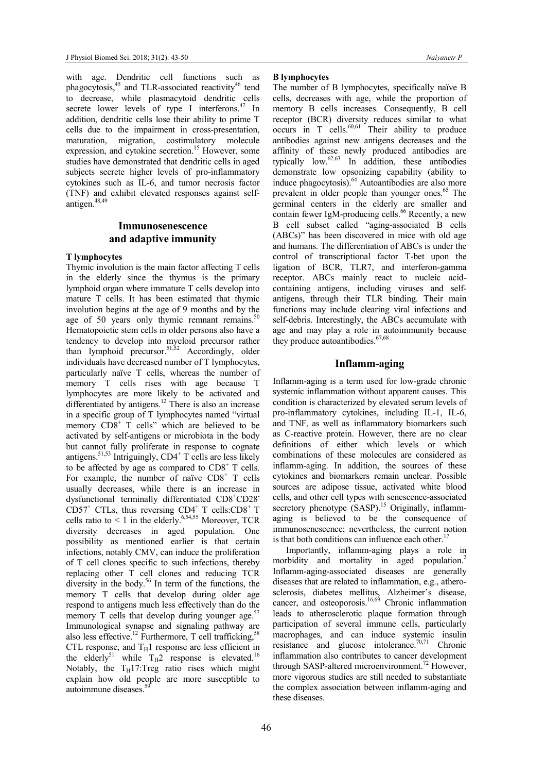with age. Dendritic cell functions such as phagocytosis,<sup>45</sup> and TLR-associated reactivity<sup>46</sup> tend to decrease, while plasmacytoid dendritic cells secrete lower levels of type I interferons. $47$  In addition, dendritic cells lose their ability to prime T cells due to the impairment in cross-presentation, maturation, migration, costimulatory molecule expression, and cytokine secretion.<sup>15</sup> However, some studies have demonstrated that dendritic cells in aged subjects secrete higher levels of pro-inflammatory cytokines such as IL-6, and tumor necrosis factor (TNF) and exhibit elevated responses against selfantigen.<sup>48,49</sup>

# Immunosenescence and adaptive immunity

# T lymphocytes

Thymic involution is the main factor affecting T cells in the elderly since the thymus is the primary lymphoid organ where immature T cells develop into mature T cells. It has been estimated that thymic involution begins at the age of 9 months and by the age of 50 years only thymic remnant remains. Hematopoietic stem cells in older persons also have a tendency to develop into myeloid precursor rather than lymphoid precursor.<sup>51,52</sup> Accordingly, older individuals have decreased number of T lymphocytes, particularly naïve T cells, whereas the number of memory T cells rises with age because T lymphocytes are more likely to be activated and differentiated by antigens.<sup>12</sup> There is also an increase in a specific group of T lymphocytes named "virtual memory  $CD8^+$  T cells" which are believed to be activated by self-antigens or microbiota in the body but cannot fully proliferate in response to cognate antigens.<sup>51,53</sup> Intriguingly, CD4<sup>+</sup> T cells are less likely to be affected by age as compared to  $CD8<sup>+</sup>$  T cells. For example, the number of naïve  $CDS<sup>+</sup>$  T cells usually decreases, while there is an increase in dysfunctional terminally differentiated CD8<sup>+</sup>CD28<sup>-</sup>  $CD57<sup>+</sup>$  CTLs, thus reversing CD4<sup>+</sup> T cells:CD8<sup>+</sup> T cells ratio to  $\leq 1$  in the elderly.<sup>6,54,55</sup> Moreover, TCR diversity decreases in aged population. One possibility as mentioned earlier is that certain infections, notably CMV, can induce the proliferation of T cell clones specific to such infections, thereby replacing other T cell clones and reducing TCR diversity in the body.<sup>56</sup> In term of the functions, the memory T cells that develop during older age respond to antigens much less effectively than do the memory T cells that develop during younger age. $57$ Immunological synapse and signaling pathway are also less effective.<sup>12</sup> Furthermore, T cell trafficking,<sup>58</sup> CTL response, and  $T_H1$  response are less efficient in the elderly<sup>51</sup> while  $T_H2$  response is elevated.<sup>16</sup> Notably, the  $T_H17$ :Treg ratio rises which might explain how old people are more susceptible to autoimmune diseases.<sup>59</sup> I.

#### B lymphocytes

The number of B lymphocytes, specifically naïve B cells, decreases with age, while the proportion of memory B cells increases. Consequently, B cell receptor (BCR) diversity reduces similar to what occurs in T cells. $60,61$  Their ability to produce antibodies against new antigens decreases and the affinity of these newly produced antibodies are typically low. $62,63$  In addition, these antibodies demonstrate low opsonizing capability (ability to induce phagocytosis).<sup>64</sup> Autoantibodies are also more prevalent in older people than younger ones.<sup>65</sup> The germinal centers in the elderly are smaller and contain fewer IgM-producing cells.<sup>66</sup> Recently, a new B cell subset called "aging-associated B cells (ABCs)" has been discovered in mice with old age and humans. The differentiation of ABCs is under the control of transcriptional factor T-bet upon the ligation of BCR, TLR7, and interferon-gamma receptor. ABCs mainly react to nucleic acidcontaining antigens, including viruses and selfantigens, through their TLR binding. Their main functions may include clearing viral infections and self-debris. Interestingly, the ABCs accumulate with age and may play a role in autoimmunity because they produce autoantibodies.<sup>67,68</sup>

## Inflamm-aging

Inflamm-aging is a term used for low-grade chronic systemic inflammation without apparent causes. This condition is characterized by elevated serum levels of pro-inflammatory cytokines, including IL-1, IL-6, and TNF, as well as inflammatory biomarkers such as C-reactive protein. However, there are no clear definitions of either which levels or which combinations of these molecules are considered as inflamm-aging. In addition, the sources of these cytokines and biomarkers remain unclear. Possible sources are adipose tissue, activated white blood cells, and other cell types with senescence-associated secretory phenotype (SASP).<sup>15</sup> Originally, inflammaging is believed to be the consequence of immunosenescence; nevertheless, the current notion is that both conditions can influence each other. $17$ 

Importantly, inflamm-aging plays a role in morbidity and mortality in aged population.<sup>2</sup> Inflamm-aging-associated diseases are generally diseases that are related to inflammation, e.g., atherosclerosis, diabetes mellitus, Alzheimer's disease, cancer, and osteoporosis.<sup>16,69</sup> Chronic inflammation leads to atherosclerotic plaque formation through participation of several immune cells, particularly macrophages, and can induce systemic insulin resistance and glucose intolerance.<sup>70,71</sup> Chronic inflammation also contributes to cancer development through SASP-altered microenvironment.<sup>72</sup> However, more vigorous studies are still needed to substantiate the complex association between inflamm-aging and these diseases.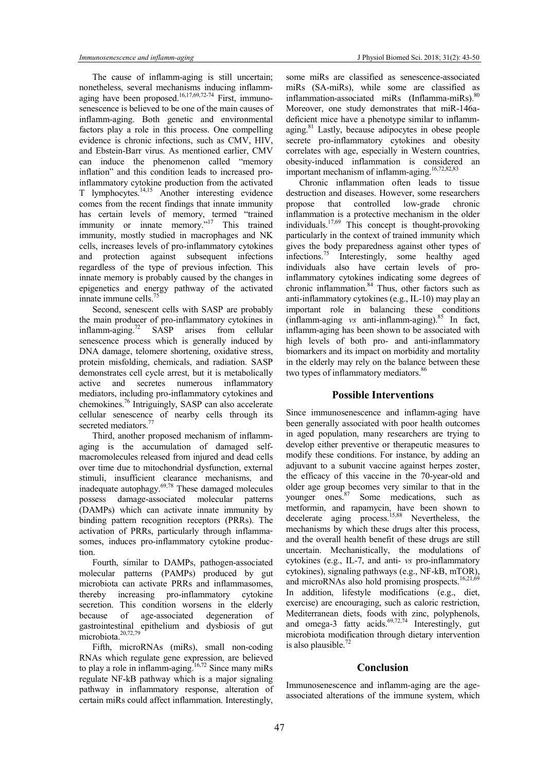The cause of inflamm-aging is still uncertain; nonetheless, several mechanisms inducing inflammaging have been proposed.<sup>16,17,69,72-74</sup> First, immunosenescence is believed to be one of the main causes of inflamm-aging. Both genetic and environmental factors play a role in this process. One compelling evidence is chronic infections, such as CMV, HIV, and Ebstein-Barr virus. As mentioned earlier, CMV can induce the phenomenon called "memory inflation" and this condition leads to increased proinflammatory cytokine production from the activated T lymphocytes.14,15 Another interesting evidence comes from the recent findings that innate immunity has certain levels of memory, termed "trained immunity or innate memory."<sup>17</sup> This trained immunity, mostly studied in macrophages and NK cells, increases levels of pro-inflammatory cytokines and protection against subsequent infections regardless of the type of previous infection. This innate memory is probably caused by the changes in epigenetics and energy pathway of the activated innate immune cells.<sup>75</sup>

Second, senescent cells with SASP are probably the main producer of pro-inflammatory cytokines in inflamm-aging.<sup>72</sup> SASP arises from cellular senescence process which is generally induced by DNA damage, telomere shortening, oxidative stress, protein misfolding, chemicals, and radiation. SASP demonstrates cell cycle arrest, but it is metabolically active and secretes numerous inflammatory mediators, including pro-inflammatory cytokines and chemokines.<sup>76</sup> Intriguingly, SASP can also accelerate cellular senescence of nearby cells through its secreted mediators.<sup>7</sup>

Third, another proposed mechanism of inflammaging is the accumulation of damaged selfmacromolecules released from injured and dead cells over time due to mitochondrial dysfunction, external stimuli, insufficient clearance mechanisms, and inadequate autophagy. $69,78$  These damaged molecules possess damage-associated molecular patterns (DAMPs) which can activate innate immunity by binding pattern recognition receptors (PRRs). The activation of PRRs, particularly through inflammasomes, induces pro-inflammatory cytokine production.

Fourth, similar to DAMPs, pathogen-associated molecular patterns (PAMPs) produced by gut microbiota can activate PRRs and inflammasomes, thereby increasing pro-inflammatory cytokine secretion. This condition worsens in the elderly because of age-associated degeneration of gastrointestinal epithelium and dysbiosis of gut microbiota.<sup>20,72,79</sup>

Fifth, microRNAs (miRs), small non-coding RNAs which regulate gene expression, are believed to play a role in inflamm-aging.<sup>16,72</sup> Since many miRs regulate NF-kB pathway which is a major signaling pathway in inflammatory response, alteration of certain miRs could affect inflammation. Interestingly,

some miRs are classified as senescence-associated miRs (SA-miRs), while some are classified as inflammation-associated miRs (Inflamma-miRs).<sup>80</sup> Moreover, one study demonstrates that miR-146adeficient mice have a phenotype similar to inflammaging.<sup>81</sup> Lastly, because adipocytes in obese people secrete pro-inflammatory cytokines and obesity correlates with age, especially in Western countries, obesity-induced inflammation is considered an important mechanism of inflamm-aging.<sup>16,72,82,83</sup>

Chronic inflammation often leads to tissue destruction and diseases. However, some researchers propose that controlled low-grade chronic inflammation is a protective mechanism in the older individuals.<sup>17,69</sup> This concept is thought-provoking particularly in the context of trained immunity which gives the body preparedness against other types of infections.<sup>75</sup> Interestingly, some healthy aged individuals also have certain levels of proinflammatory cytokines indicating some degrees of chronic inflammation. $84$  Thus, other factors such as anti-inflammatory cytokines (e.g., IL-10) may play an important role in balancing these conditions important role in balancing these conditions (inflamm-aging).<sup>85</sup> In fact, inflamm-aging has been shown to be associated with high levels of both pro- and anti-inflammatory biomarkers and its impact on morbidity and mortality in the elderly may rely on the balance between these two types of inflammatory mediators.<sup>86</sup> Ĩ.

### Possible Interventions

Since immunosenescence and inflamm-aging have been generally associated with poor health outcomes in aged population, many researchers are trying to develop either preventive or therapeutic measures to modify these conditions. For instance, by adding an adjuvant to a subunit vaccine against herpes zoster, the efficacy of this vaccine in the 70-year-old and older age group becomes very similar to that in the younger ones.<sup>87</sup> Some medications, such as metformin, and rapamycin, have been shown to decelerate aging process.<sup>15,88</sup> Nevertheless, the mechanisms by which these drugs alter this process, and the overall health benefit of these drugs are still uncertain. Mechanistically, the modulations of cytokines (e.g., IL-7, and anti- vs pro-inflammatory cytokines), signaling pathways (e.g., NF-kB, mTOR), and microRNAs also hold promising prospects.<sup>16,21,69</sup> In addition, lifestyle modifications (e.g., diet, exercise) are encouraging, such as caloric restriction, Mediterranean diets, foods with zinc, polyphenols, and omega-3 fatty acids. $69,72,74$  Interestingly, gut microbiota modification through dietary intervention is also plausible.<sup>72</sup>

# **Conclusion**

Immunosenescence and inflamm-aging are the ageassociated alterations of the immune system, which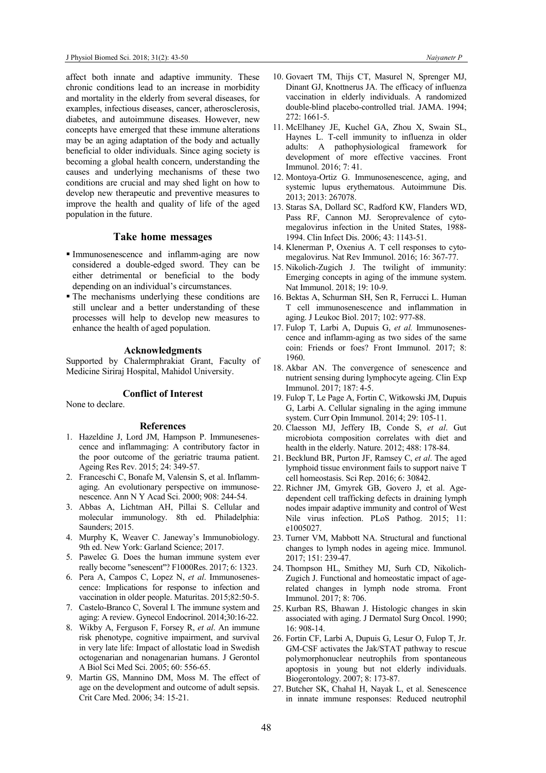affect both innate and adaptive immunity. These chronic conditions lead to an increase in morbidity and mortality in the elderly from several diseases, for examples, infectious diseases, cancer, atherosclerosis, diabetes, and autoimmune diseases. However, new concepts have emerged that these immune alterations may be an aging adaptation of the body and actually beneficial to older individuals. Since aging society is becoming a global health concern, understanding the causes and underlying mechanisms of these two conditions are crucial and may shed light on how to develop new therapeutic and preventive measures to improve the health and quality of life of the aged population in the future.

# Take home messages

- Immunosenescence and inflamm-aging are now considered a double-edged sword. They can be either detrimental or beneficial to the body depending on an individual's circumstances.
- The mechanisms underlying these conditions are still unclear and a better understanding of these processes will help to develop new measures to enhance the health of aged population.

## Acknowledgments

Supported by Chalermphrakiat Grant, Faculty of Medicine Siriraj Hospital, Mahidol University.

#### Conflict of Interest

None to declare.

#### References

- 1. Hazeldine J, Lord JM, Hampson P. Immunesenescence and inflammaging: A contributory factor in the poor outcome of the geriatric trauma patient. Ageing Res Rev. 2015; 24: 349-57.
- 2. Franceschi C, Bonafe M, Valensin S, et al. Inflammaging. An evolutionary perspective on immunosenescence. Ann N Y Acad Sci. 2000; 908: 244-54.
- 3. Abbas A, Lichtman AH, Pillai S. Cellular and molecular immunology. 8th ed. Philadelphia: Saunders; 2015.
- 4. Murphy K, Weaver C. Janeway's Immunobiology. 9th ed. New York: Garland Science; 2017.
- 5. Pawelec G. Does the human immune system ever really become "senescent"? F1000Res. 2017; 6: 1323.
- 6. Pera A, Campos C, Lopez N, et al. Immunosenescence: Implications for response to infection and vaccination in older people. Maturitas. 2015;82:50-5.
- 7. Castelo-Branco C, Soveral I. The immune system and aging: A review. Gynecol Endocrinol. 2014;30:16-22.
- 8. Wikby A, Ferguson F, Forsey R, et al. An immune risk phenotype, cognitive impairment, and survival in very late life: Impact of allostatic load in Swedish octogenarian and nonagenarian humans. J Gerontol A Biol Sci Med Sci. 2005; 60: 556-65.
- 9. Martin GS, Mannino DM, Moss M. The effect of age on the development and outcome of adult sepsis. Crit Care Med. 2006; 34: 15-21.
- 10. Govaert TM, Thijs CT, Masurel N, Sprenger MJ, Dinant GJ, Knottnerus JA. The efficacy of influenza vaccination in elderly individuals. A randomized double-blind placebo-controlled trial. JAMA. 1994; 272: 1661-5.
- 11. McElhaney JE, Kuchel GA, Zhou X, Swain SL, Haynes L. T-cell immunity to influenza in older adults: A pathophysiological framework for development of more effective vaccines. Front Immunol. 2016; 7: 41.
- 12. Montoya-Ortiz G. Immunosenescence, aging, and systemic lupus erythematous. Autoimmune Dis. 2013; 2013: 267078.
- 13. Staras SA, Dollard SC, Radford KW, Flanders WD, Pass RF, Cannon MJ. Seroprevalence of cytomegalovirus infection in the United States, 1988- 1994. Clin Infect Dis. 2006; 43: 1143-51.
- 14. Klenerman P, Oxenius A. T cell responses to cytomegalovirus. Nat Rev Immunol. 2016; 16: 367-77.
- 15. Nikolich-Zugich J. The twilight of immunity: Emerging concepts in aging of the immune system. Nat Immunol. 2018; 19: 10-9.
- 16. Bektas A, Schurman SH, Sen R, Ferrucci L. Human T cell immunosenescence and inflammation in aging. J Leukoc Biol. 2017; 102: 977-88.
- 17. Fulop T, Larbi A, Dupuis G, et al. Immunosenescence and inflamm-aging as two sides of the same coin: Friends or foes? Front Immunol. 2017; 8: 1960.
- 18. Akbar AN. The convergence of senescence and nutrient sensing during lymphocyte ageing. Clin Exp Immunol. 2017; 187: 4-5.
- 19. Fulop T, Le Page A, Fortin C, Witkowski JM, Dupuis G, Larbi A. Cellular signaling in the aging immune system. Curr Opin Immunol. 2014; 29: 105-11.
- 20. Claesson MJ, Jeffery IB, Conde S, et al. Gut microbiota composition correlates with diet and health in the elderly. Nature. 2012; 488: 178-84.
- 21. Becklund BR, Purton JF, Ramsey C, et al. The aged lymphoid tissue environment fails to support naive T cell homeostasis. Sci Rep. 2016; 6: 30842.
- 22. Richner JM, Gmyrek GB, Govero J, et al. Agedependent cell trafficking defects in draining lymph nodes impair adaptive immunity and control of West Nile virus infection. PLoS Pathog. 2015; 11: e1005027.
- 23. Turner VM, Mabbott NA. Structural and functional changes to lymph nodes in ageing mice. Immunol. 2017; 151: 239-47.
- 24. Thompson HL, Smithey MJ, Surh CD, Nikolich-Zugich J. Functional and homeostatic impact of agerelated changes in lymph node stroma. Front Immunol. 2017; 8: 706.
- 25. Kurban RS, Bhawan J. Histologic changes in skin associated with aging. J Dermatol Surg Oncol. 1990; 16: 908-14.
- 26. Fortin CF, Larbi A, Dupuis G, Lesur O, Fulop T, Jr. GM-CSF activates the Jak/STAT pathway to rescue polymorphonuclear neutrophils from spontaneous apoptosis in young but not elderly individuals. Biogerontology. 2007; 8: 173-87.
- 27. Butcher SK, Chahal H, Nayak L, et al. Senescence in innate immune responses: Reduced neutrophil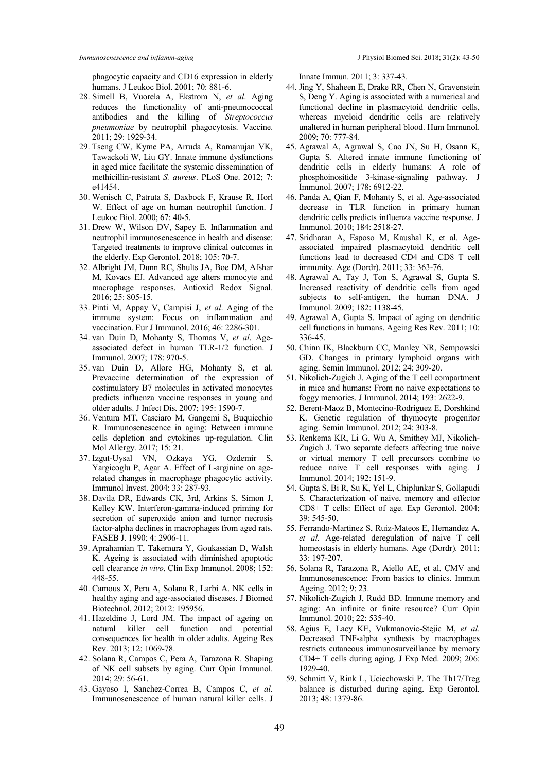phagocytic capacity and CD16 expression in elderly humans. J Leukoc Biol. 2001; 70: 881-6.

- 28. Simell B, Vuorela A, Ekstrom N, et al. Aging reduces the functionality of anti-pneumococcal antibodies and the killing of Streptococcus pneumoniae by neutrophil phagocytosis. Vaccine. 2011; 29: 1929-34.
- 29. Tseng CW, Kyme PA, Arruda A, Ramanujan VK, Tawackoli W, Liu GY. Innate immune dysfunctions in aged mice facilitate the systemic dissemination of methicillin-resistant S. aureus. PLoS One. 2012; 7: e41454.
- 30. Wenisch C, Patruta S, Daxbock F, Krause R, Horl W. Effect of age on human neutrophil function. J Leukoc Biol. 2000; 67: 40-5.
- 31. Drew W, Wilson DV, Sapey E. Inflammation and neutrophil immunosenescence in health and disease: Targeted treatments to improve clinical outcomes in the elderly. Exp Gerontol. 2018; 105: 70-7.
- 32. Albright JM, Dunn RC, Shults JA, Boe DM, Afshar M, Kovacs EJ. Advanced age alters monocyte and macrophage responses. Antioxid Redox Signal. 2016; 25: 805-15.
- 33. Pinti M, Appay V, Campisi J, et al. Aging of the immune system: Focus on inflammation and vaccination. Eur J Immunol. 2016; 46: 2286-301.
- 34. van Duin D, Mohanty S, Thomas V, et al. Ageassociated defect in human TLR-1/2 function. J Immunol. 2007; 178: 970-5.
- 35. van Duin D, Allore HG, Mohanty S, et al. Prevaccine determination of the expression of costimulatory B7 molecules in activated monocytes predicts influenza vaccine responses in young and older adults. J Infect Dis. 2007; 195: 1590-7.
- 36. Ventura MT, Casciaro M, Gangemi S, Buquicchio R. Immunosenescence in aging: Between immune cells depletion and cytokines up-regulation. Clin Mol Allergy. 2017; 15: 21.
- 37. Izgut-Uysal VN, Ozkaya YG, Ozdemir S, Yargicoglu P, Agar A. Effect of L-arginine on agerelated changes in macrophage phagocytic activity. Immunol Invest. 2004; 33: 287-93.
- 38. Davila DR, Edwards CK, 3rd, Arkins S, Simon J, Kelley KW. Interferon-gamma-induced priming for secretion of superoxide anion and tumor necrosis factor-alpha declines in macrophages from aged rats. FASEB J. 1990; 4: 2906-11.
- 39. Aprahamian T, Takemura Y, Goukassian D, Walsh K. Ageing is associated with diminished apoptotic cell clearance in vivo. Clin Exp Immunol. 2008; 152: 448-55.
- 40. Camous X, Pera A, Solana R, Larbi A. NK cells in healthy aging and age-associated diseases. J Biomed Biotechnol. 2012; 2012: 195956.
- 41. Hazeldine J, Lord JM. The impact of ageing on natural killer cell function and potential consequences for health in older adults. Ageing Res Rev. 2013; 12: 1069-78.
- 42. Solana R, Campos C, Pera A, Tarazona R. Shaping of NK cell subsets by aging. Curr Opin Immunol. 2014; 29: 56-61.
- 43. Gayoso I, Sanchez-Correa B, Campos C, et al. Immunosenescence of human natural killer cells. J

Innate Immun. 2011; 3: 337-43.

- 44. Jing Y, Shaheen E, Drake RR, Chen N, Gravenstein S, Deng Y. Aging is associated with a numerical and functional decline in plasmacytoid dendritic cells, whereas myeloid dendritic cells are relatively unaltered in human peripheral blood. Hum Immunol. 2009; 70: 777-84.
- 45. Agrawal A, Agrawal S, Cao JN, Su H, Osann K, Gupta S. Altered innate immune functioning of dendritic cells in elderly humans: A role of phosphoinositide 3-kinase-signaling pathway. J Immunol. 2007; 178: 6912-22.
- 46. Panda A, Qian F, Mohanty S, et al. Age-associated decrease in TLR function in primary human dendritic cells predicts influenza vaccine response. J Immunol. 2010; 184: 2518-27.
- 47. Sridharan A, Esposo M, Kaushal K, et al. Ageassociated impaired plasmacytoid dendritic cell functions lead to decreased CD4 and CD8 T cell immunity. Age (Dordr). 2011; 33: 363-76.
- 48. Agrawal A, Tay J, Ton S, Agrawal S, Gupta S. Increased reactivity of dendritic cells from aged subjects to self-antigen, the human DNA. J Immunol. 2009; 182: 1138-45.
- 49. Agrawal A, Gupta S. Impact of aging on dendritic cell functions in humans. Ageing Res Rev. 2011; 10: 336-45.
- 50. Chinn IK, Blackburn CC, Manley NR, Sempowski GD. Changes in primary lymphoid organs with aging. Semin Immunol. 2012; 24: 309-20.
- 51. Nikolich-Zugich J. Aging of the T cell compartment in mice and humans: From no naive expectations to foggy memories. J Immunol. 2014; 193: 2622-9.
- 52. Berent-Maoz B, Montecino-Rodriguez E, Dorshkind K. Genetic regulation of thymocyte progenitor aging. Semin Immunol. 2012; 24: 303-8.
- 53. Renkema KR, Li G, Wu A, Smithey MJ, Nikolich-Zugich J. Two separate defects affecting true naive or virtual memory T cell precursors combine to reduce naive T cell responses with aging. J Immunol. 2014; 192: 151-9.
- 54. Gupta S, Bi R, Su K, Yel L, Chiplunkar S, Gollapudi S. Characterization of naive, memory and effector CD8+ T cells: Effect of age. Exp Gerontol. 2004; 39: 545-50.
- 55. Ferrando-Martinez S, Ruiz-Mateos E, Hernandez A, et al. Age-related deregulation of naive T cell homeostasis in elderly humans. Age (Dordr). 2011; 33: 197-207.
- 56. Solana R, Tarazona R, Aiello AE, et al. CMV and Immunosenescence: From basics to clinics. Immun Ageing. 2012; 9: 23.
- 57. Nikolich-Zugich J, Rudd BD. Immune memory and aging: An infinite or finite resource? Curr Opin Immunol. 2010; 22: 535-40.
- 58. Agius E, Lacy KE, Vukmanovic-Stejic M, et al. Decreased TNF-alpha synthesis by macrophages restricts cutaneous immunosurveillance by memory CD4+ T cells during aging. J Exp Med. 2009; 206: 1929-40.
- 59. Schmitt V, Rink L, Uciechowski P. The Th17/Treg balance is disturbed during aging. Exp Gerontol. 2013; 48: 1379-86.